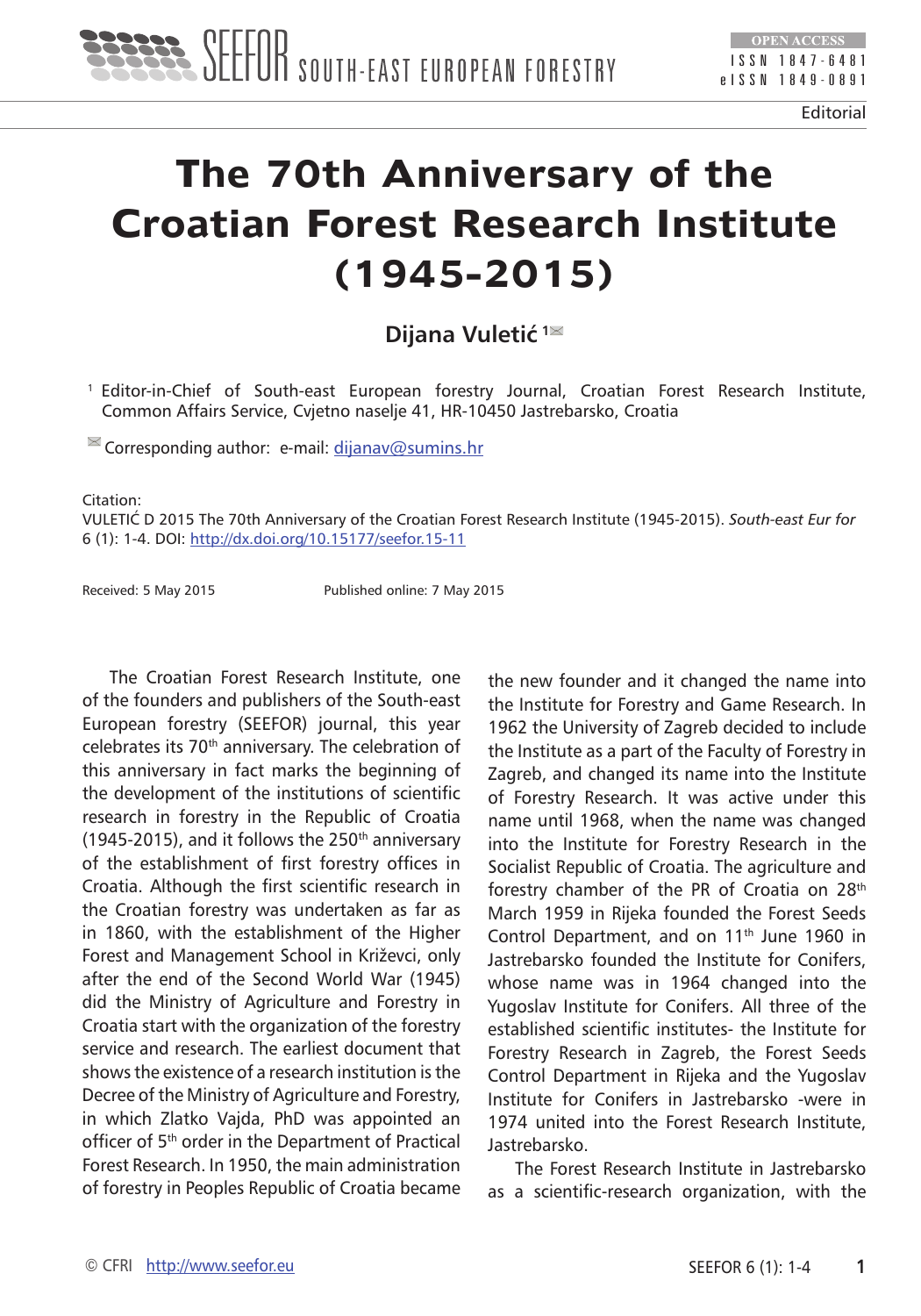

Editorial

## **The 70th Anniversary of the Croatian Forest Research Institute (1945-2015)**

## **Dijana Vuletić<sup>1</sup>**

1 Editor-in-Chief of South-east European forestry Journal, Croatian Forest Research Institute, Common Affairs Service, Cvjetno naselje 41, HR-10450 Jastrebarsko, Croatia

 $\blacksquare$  Corresponding author: e-mail: [dijanav@sumins.hr](mailto:dijanav@sumins.hr)

Citation:

VULETIĆ D 2015 The 70th Anniversary of the Croatian Forest Research Institute (1945-2015). *South-east Eur for* 6 (1): 1-4. DOI:<http://dx.doi.org/10.15177/seefor.15-11>

Received: 5 May 2015 Published online: 7 May 2015

The Croatian Forest Research Institute, one of the founders and publishers of the South-east European forestry (SEEFOR) journal, this year celebrates its 70<sup>th</sup> anniversary. The celebration of this anniversary in fact marks the beginning of the development of the institutions of scientific research in forestry in the Republic of Croatia (1945-2015), and it follows the  $250<sup>th</sup>$  anniversary of the establishment of first forestry offices in Croatia. Although the first scientific research in the Croatian forestry was undertaken as far as in 1860, with the establishment of the Higher Forest and Management School in Križevci, only after the end of the Second World War (1945) did the Ministry of Agriculture and Forestry in Croatia start with the organization of the forestry service and research. The earliest document that shows the existence of a research institution is the Decree of the Ministry of Agriculture and Forestry, in which Zlatko Vajda, PhD was appointed an officer of 5<sup>th</sup> order in the Department of Practical Forest Research. In 1950, the main administration of forestry in Peoples Republic of Croatia became

the new founder and it changed the name into the Institute for Forestry and Game Research. In 1962 the University of Zagreb decided to include the Institute as a part of the Faculty of Forestry in Zagreb, and changed its name into the Institute of Forestry Research. It was active under this name until 1968, when the name was changed into the Institute for Forestry Research in the Socialist Republic of Croatia. The agriculture and forestry chamber of the PR of Croatia on 28<sup>th</sup> March 1959 in Rijeka founded the Forest Seeds Control Department, and on 11<sup>th</sup> June 1960 in Jastrebarsko founded the Institute for Conifers, whose name was in 1964 changed into the Yugoslav Institute for Conifers. All three of the established scientific institutes- the Institute for Forestry Research in Zagreb, the Forest Seeds Control Department in Rijeka and the Yugoslav Institute for Conifers in Jastrebarsko -were in 1974 united into the Forest Research Institute, Jastrebarsko.

The Forest Research Institute in Jastrebarsko as a scientific-research organization, with the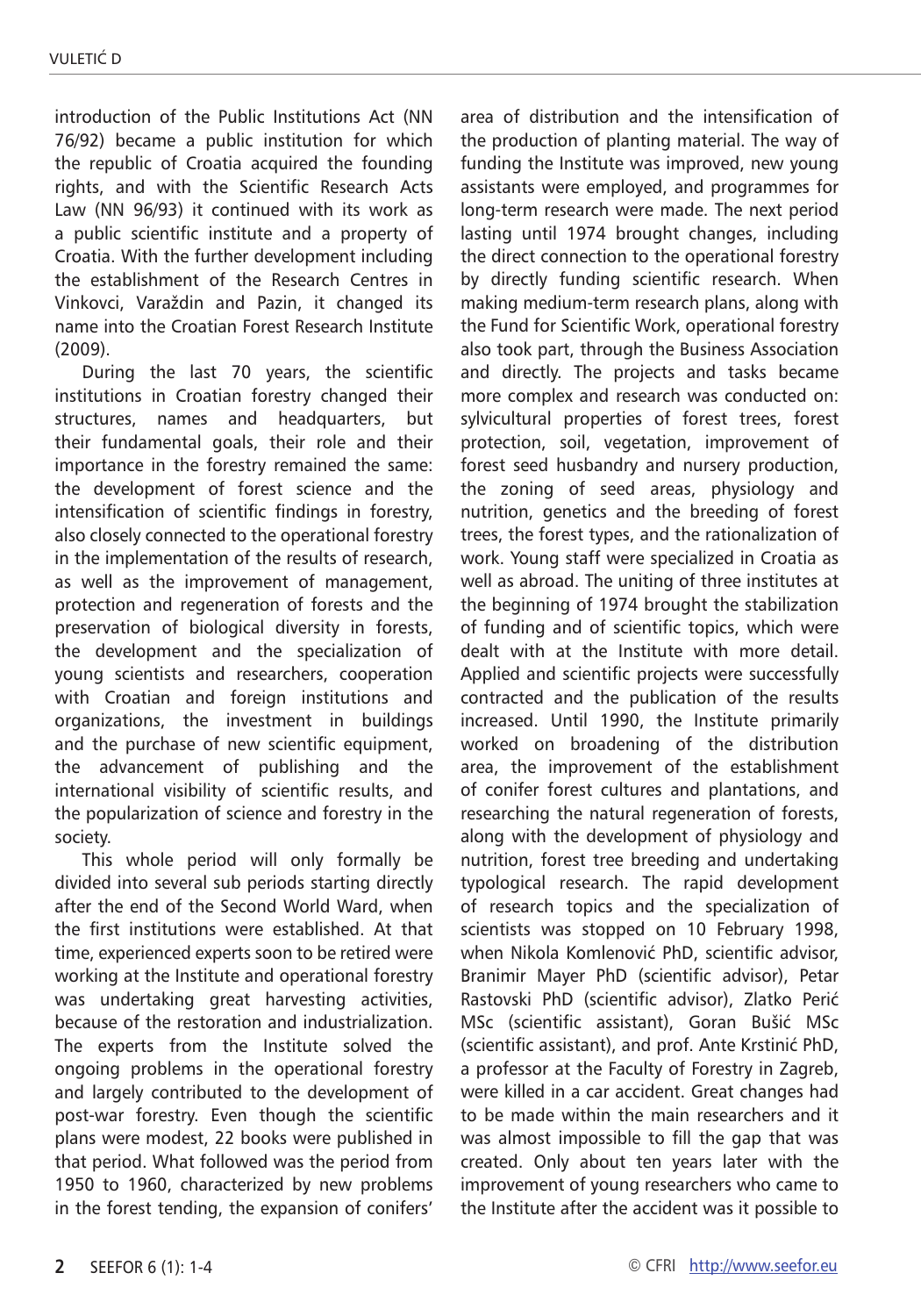introduction of the Public Institutions Act (NN 76/92) became a public institution for which the republic of Croatia acquired the founding rights, and with the Scientific Research Acts Law (NN 96/93) it continued with its work as a public scientific institute and a property of Croatia. With the further development including the establishment of the Research Centres in Vinkovci, Varaždin and Pazin, it changed its name into the Croatian Forest Research Institute (2009).

During the last 70 years, the scientific institutions in Croatian forestry changed their structures, names and headquarters, but their fundamental goals, their role and their importance in the forestry remained the same: the development of forest science and the intensification of scientific findings in forestry, also closely connected to the operational forestry in the implementation of the results of research, as well as the improvement of management, protection and regeneration of forests and the preservation of biological diversity in forests, the development and the specialization of young scientists and researchers, cooperation with Croatian and foreign institutions and organizations, the investment in buildings and the purchase of new scientific equipment, the advancement of publishing and the international visibility of scientific results, and the popularization of science and forestry in the society.

This whole period will only formally be divided into several sub periods starting directly after the end of the Second World Ward, when the first institutions were established. At that time, experienced experts soon to be retired were working at the Institute and operational forestry was undertaking great harvesting activities, because of the restoration and industrialization. The experts from the Institute solved the ongoing problems in the operational forestry and largely contributed to the development of post-war forestry. Even though the scientific plans were modest, 22 books were published in that period. What followed was the period from 1950 to 1960, characterized by new problems in the forest tending, the expansion of conifers' area of distribution and the intensification of the production of planting material. The way of funding the Institute was improved, new young assistants were employed, and programmes for long-term research were made. The next period lasting until 1974 brought changes, including the direct connection to the operational forestry by directly funding scientific research. When making medium-term research plans, along with the Fund for Scientific Work, operational forestry also took part, through the Business Association and directly. The projects and tasks became more complex and research was conducted on: sylvicultural properties of forest trees, forest protection, soil, vegetation, improvement of forest seed husbandry and nursery production, the zoning of seed areas, physiology and nutrition, genetics and the breeding of forest trees, the forest types, and the rationalization of work. Young staff were specialized in Croatia as well as abroad. The uniting of three institutes at the beginning of 1974 brought the stabilization of funding and of scientific topics, which were dealt with at the Institute with more detail. Applied and scientific projects were successfully contracted and the publication of the results increased. Until 1990, the Institute primarily worked on broadening of the distribution area, the improvement of the establishment of conifer forest cultures and plantations, and researching the natural regeneration of forests, along with the development of physiology and nutrition, forest tree breeding and undertaking typological research. The rapid development of research topics and the specialization of scientists was stopped on 10 February 1998, when Nikola Komlenović PhD, scientific advisor, Branimir Mayer PhD (scientific advisor), Petar Rastovski PhD (scientific advisor), Zlatko Perić MSc (scientific assistant), Goran Bušić MSc (scientific assistant), and prof. Ante Krstinić PhD, a professor at the Faculty of Forestry in Zagreb, were killed in a car accident. Great changes had to be made within the main researchers and it was almost impossible to fill the gap that was created. Only about ten years later with the improvement of young researchers who came to the Institute after the accident was it possible to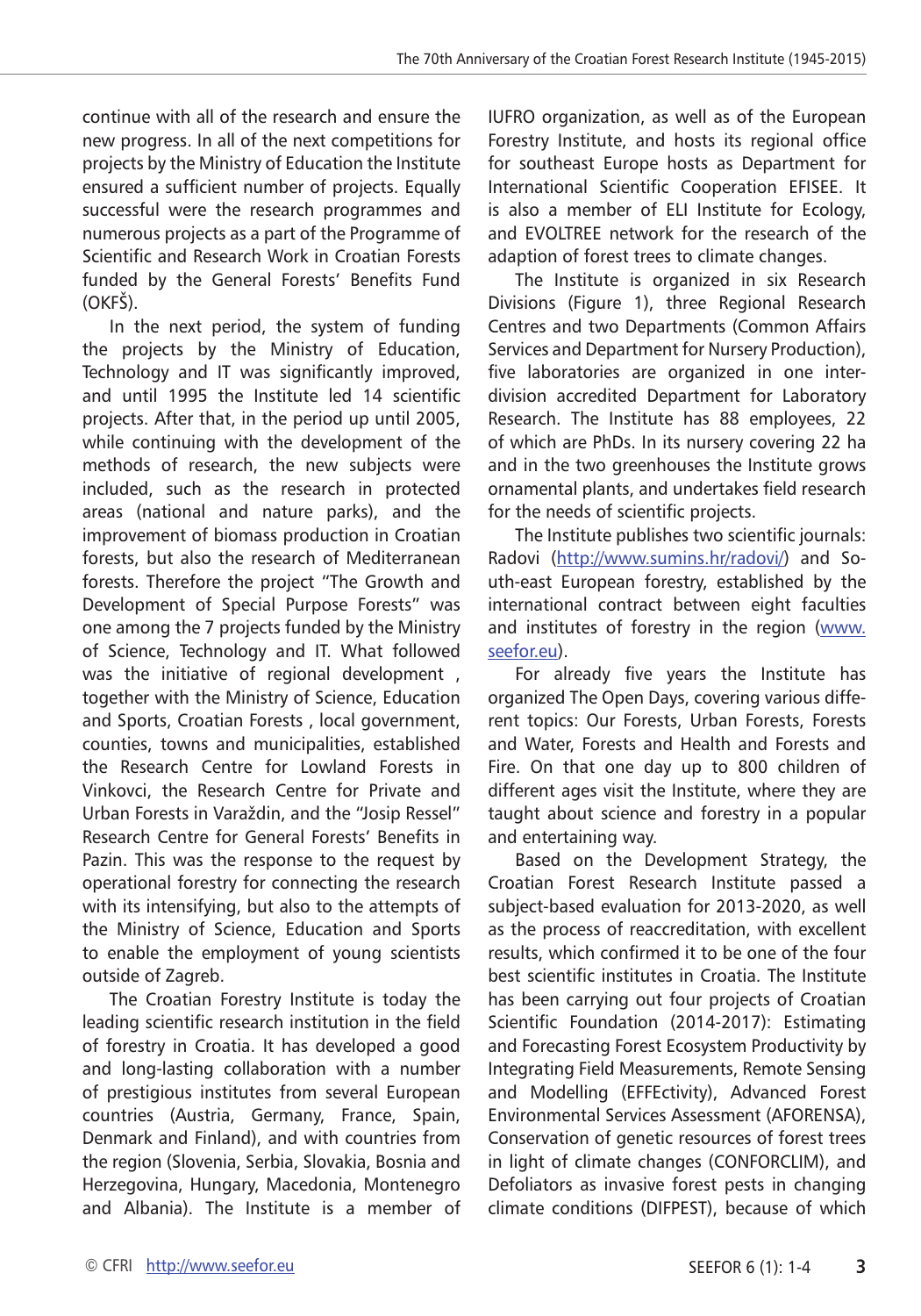continue with all of the research and ensure the new progress. In all of the next competitions for projects by the Ministry of Education the Institute ensured a sufficient number of projects. Equally successful were the research programmes and numerous projects as a part of the Programme of Scientific and Research Work in Croatian Forests funded by the General Forests' Benefits Fund (OKFŠ).

In the next period, the system of funding the projects by the Ministry of Education, Technology and IT was significantly improved, and until 1995 the Institute led 14 scientific projects. After that, in the period up until 2005, while continuing with the development of the methods of research, the new subjects were included, such as the research in protected areas (national and nature parks), and the improvement of biomass production in Croatian forests, but also the research of Mediterranean forests. Therefore the project "The Growth and Development of Special Purpose Forests" was one among the 7 projects funded by the Ministry of Science, Technology and IT. What followed was the initiative of regional development , together with the Ministry of Science, Education and Sports, Croatian Forests , local government, counties, towns and municipalities, established the Research Centre for Lowland Forests in Vinkovci, the Research Centre for Private and Urban Forests in Varaždin, and the "Josip Ressel" Research Centre for General Forests' Benefits in Pazin. This was the response to the request by operational forestry for connecting the research with its intensifying, but also to the attempts of the Ministry of Science, Education and Sports to enable the employment of young scientists outside of Zagreb.

The Croatian Forestry Institute is today the leading scientific research institution in the field of forestry in Croatia. It has developed a good and long-lasting collaboration with a number of prestigious institutes from several European countries (Austria, Germany, France, Spain, Denmark and Finland), and with countries from the region (Slovenia, Serbia, Slovakia, Bosnia and Herzegovina, Hungary, Macedonia, Montenegro and Albania). The Institute is a member of IUFRO organization, as well as of the European Forestry Institute, and hosts its regional office for southeast Europe hosts as Department for International Scientific Cooperation EFISEE. It is also a member of ELI Institute for Ecology, and EVOLTREE network for the research of the adaption of forest trees to climate changes.

The Institute is organized in six Research Divisions (Figure 1), three Regional Research Centres and two Departments (Common Affairs Services and Department for Nursery Production), five laboratories are organized in one interdivision accredited Department for Laboratory Research. The Institute has 88 employees, 22 of which are PhDs. In its nursery covering 22 ha and in the two greenhouses the Institute grows ornamental plants, and undertakes field research for the needs of scientific projects.

The Institute publishes two scientific journals: Radovi (<http://www.sumins.hr/radovi/>) and South-east European forestry, established by the international contract between eight faculties and institutes of forestry in the region [\(www.](http://www.seefor.eu) [seefor.eu](http://www.seefor.eu)).

For already five years the Institute has organized The Open Days, covering various different topics: Our Forests, Urban Forests, Forests and Water, Forests and Health and Forests and Fire. On that one day up to 800 children of different ages visit the Institute, where they are taught about science and forestry in a popular and entertaining way.

Based on the Development Strategy, the Croatian Forest Research Institute passed a subject-based evaluation for 2013-2020, as well as the process of reaccreditation, with excellent results, which confirmed it to be one of the four best scientific institutes in Croatia. The Institute has been carrying out four projects of Croatian Scientific Foundation (2014-2017): Estimating and Forecasting Forest Ecosystem Productivity by Integrating Field Measurements, Remote Sensing and Modelling (EFFEctivity), Advanced Forest Environmental Services Assessment (AFORENSA), Conservation of genetic resources of forest trees in light of climate changes (CONFORCLIM), and Defoliators as invasive forest pests in changing climate conditions (DIFPEST), because of which